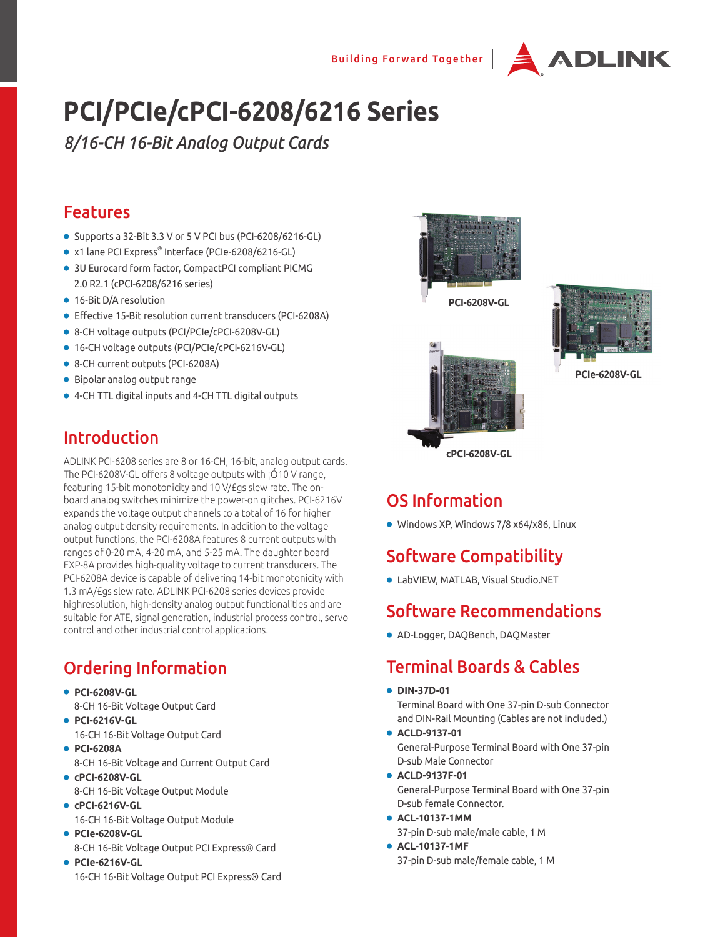

# **PCI/PCIe/cPCI-6208/6216 Series**

*8/16-CH 16-Bit Analog Output Cards*

### Features

- Supports a 32-Bit 3.3 V or 5 V PCI bus (PCI-6208/6216-GL)
- x1 lane PCI Express® Interface (PCIe-6208/6216-GL)
- 3U Eurocard form factor, CompactPCI compliant PICMG 2.0 R2.1 (cPCI-6208/6216 series)
- 16-Bit D/A resolution
- Effective 15-Bit resolution current transducers (PCI-6208A)
- 8-CH voltage outputs (PCI/PCIe/cPCI-6208V-GL)
- 16-CH voltage outputs (PCI/PCIe/cPCI-6216V-GL)
- 8-CH current outputs (PCI-6208A)
- Bipolar analog output range
- 4-CH TTL digital inputs and 4-CH TTL digital outputs

### Introduction

ADLINK PCI-6208 series are 8 or 16-CH, 16-bit, analog output cards. The PCI-6208V-GL offers 8 voltage outputs with ¡Ó10 V range, featuring 15-bit monotonicity and 10 V/£gs slew rate. The onboard analog switches minimize the power-on glitches. PCI-6216V expands the voltage output channels to a total of 16 for higher analog output density requirements. In addition to the voltage output functions, the PCI-6208A features 8 current outputs with ranges of 0-20 mA, 4-20 mA, and 5-25 mA. The daughter board EXP-8A provides high-quality voltage to current transducers. The PCI-6208A device is capable of delivering 14-bit monotonicity with 1.3 mA/£gs slew rate. ADLINK PCI-6208 series devices provide highresolution, high-density analog output functionalities and are suitable for ATE, signal generation, industrial process control, servo control and other industrial control applications.

# Ordering Information

● **PCI-6208V-GL**

- 8-CH 16-Bit Voltage Output Card
- **PCI-6216V-GL** 16-CH 16-Bit Voltage Output Card
- **PCI-6208A**
	- 8-CH 16-Bit Voltage and Current Output Card
- **cPCI-6208V-GL** 8-CH 16-Bit Voltage Output Module
- **cPCI-6216V-GL** 16-CH 16-Bit Voltage Output Module
- **PCIe-6208V-GL** 8-CH 16-Bit Voltage Output PCI Express® Card
- **PCIe-6216V-GL** 16-CH 16-Bit Voltage Output PCI Express® Card



**PCI-6208V-GL**



**PCIe-6208V-GL**

## OS Information

● Windows XP, Windows 7/8 x64/x86, Linux

**cPCI-6208V-GL**

### Software Compatibility

● LabVIEW, MATLAB, Visual Studio.NET

#### Software Recommendations

● AD-Logger, DAQBench, DAQMaster

### Terminal Boards & Cables

● **DIN-37D-01**

Terminal Board with One 37-pin D-sub Connector and DIN-Rail Mounting (Cables are not included.)

- **ACLD-9137-01** General-Purpose Terminal Board with One 37-pin D-sub Male Connector
- **ACLD-9137F-01** General-Purpose Terminal Board with One 37-pin D-sub female Connector.
- **ACL-10137-1MM** 37-pin D-sub male/male cable, 1 M
- **ACL-10137-1MF** 37-pin D-sub male/female cable, 1 M